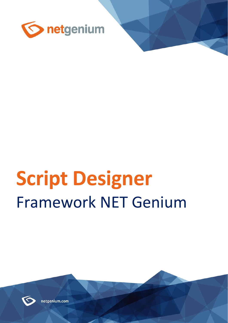

# **Script Designer** Framework NET Genium



netgenium.com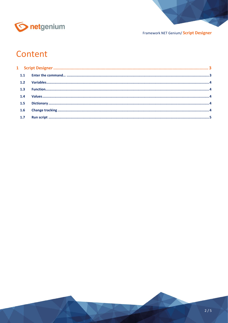

#### Framework NET Genium/ Script Designer

### Content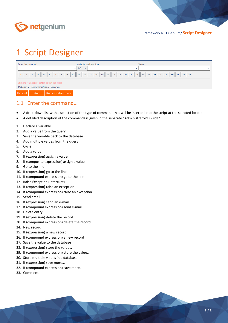

## <span id="page-2-0"></span>1 Script Designer

| Enter the command                                                                      | Variables and functions                                                                                                                                                                            | <b>Values</b>                      |              |  |  |  |
|----------------------------------------------------------------------------------------|----------------------------------------------------------------------------------------------------------------------------------------------------------------------------------------------------|------------------------------------|--------------|--|--|--|
|                                                                                        | $\vee$ A-E<br>$\checkmark$                                                                                                                                                                         | $\checkmark$                       | $\checkmark$ |  |  |  |
| 8 <br>$6 \mid 7 \mid$<br> 9 <br>$\mathbf{R}$<br>5<br>$\overline{2}$<br>$\overline{4}$  | $\vert$ 10 $\vert$ 11 $\vert$ 12 $\vert$ 13 $\vert$ 14 $\vert$ 15 $\vert$ 16 $\vert$ 17 $\vert$ 18 $\vert$ 19 $\vert$ 20 $\vert$ 24 $\vert$ 25 $\vert$ 26 $\vert$ 27 $\vert$ 28 $\vert$ 29 $\vert$ | 33<br>$\ $ 30 $\ $ 31 $\ $ 32 $\ $ |              |  |  |  |
| Click the "Run script" button to test the script<br>Dictionary Change tracking Logging |                                                                                                                                                                                                    |                                    |              |  |  |  |
| Save and continue editing<br>Save<br><b>Run script</b>                                 |                                                                                                                                                                                                    |                                    |              |  |  |  |

#### <span id="page-2-1"></span>1.1 Enter the command…

- A drop-down list with a selection of the type of command that will be inserted into the script at the selected location.
- A detailed description of the commands is given in the separate "Administrator's Guide".
- 1. Declare a variable
- 2. Add a value from the query
- 3. Save the variable back to the database
- 4. Add multiple values from the query
- 5. Cycle
- 6. Add a value
- 7. If (expression) assign a value
- 8. If (composite expression) assign a value
- 9. Go to the line
- 10. If (expression) go to the line
- 11. If (compound expression) go to the line
- 12. Raise Exception (Interrupt)
- 13. If (expression) raise an exception
- 14. If (compound expression) raise an exception
- 15. Send email
- 16. If (expression) send an e-mail
- 17. If (compound expression) send e-mail
- 18. Delete entry
- 19. If (expression) delete the record
- 20. If (compound expression) delete the record
- 24. New record
- 25. If (expression) a new record
- 26. If (compound expression) a new record
- 27. Save the value to the database
- 28. If (expression) store the value…
- 29. If (compound expression) store the value…
- 30. Store multiple values in a database
- 31. If (expression) save more…
- 32. If (compound expression) save more…
- 33. Comment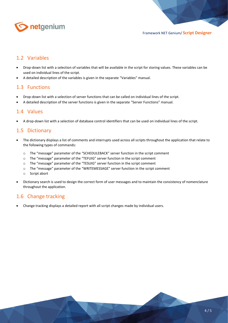

#### <span id="page-3-0"></span>1.2 Variables

- Drop-down list with a selection of variables that will be available in the script for storing values. These variables can be used on individual lines of the script.
- A detailed description of the variables is given in the separate "Variables" manual.

#### <span id="page-3-1"></span>1.3 Functions

- Drop-down list with a selection of server functions that can be called on individual lines of the script.
- A detailed description of the server functions is given in the separate "Server Functions" manual.

#### <span id="page-3-2"></span>1.4 Values

• A drop-down list with a selection of database control identifiers that can be used on individual lines of the script.

#### <span id="page-3-3"></span>1.5 Dictionary

- The dictionary displays a list of comments and interrupts used across all scripts throughout the application that relate to the following types of commands:
	- o The "message" parameter of the "SCHEDULEBACK" server function in the script comment
	- o The "message" parameter of the "TEFUIG" server function in the script comment
	- o The "message" parameter of the "TESUIG" server function in the script comment
	- o The "message" parameter of the "WRITEMESSAGE" server function in the script comment
	- o Script abort
- Dictionary search is used to design the correct form of user messages and to maintain the consistency of nomenclature throughout the application.

#### <span id="page-3-4"></span>1.6 Change tracking

• Change tracking displays a detailed report with all script changes made by individual users.